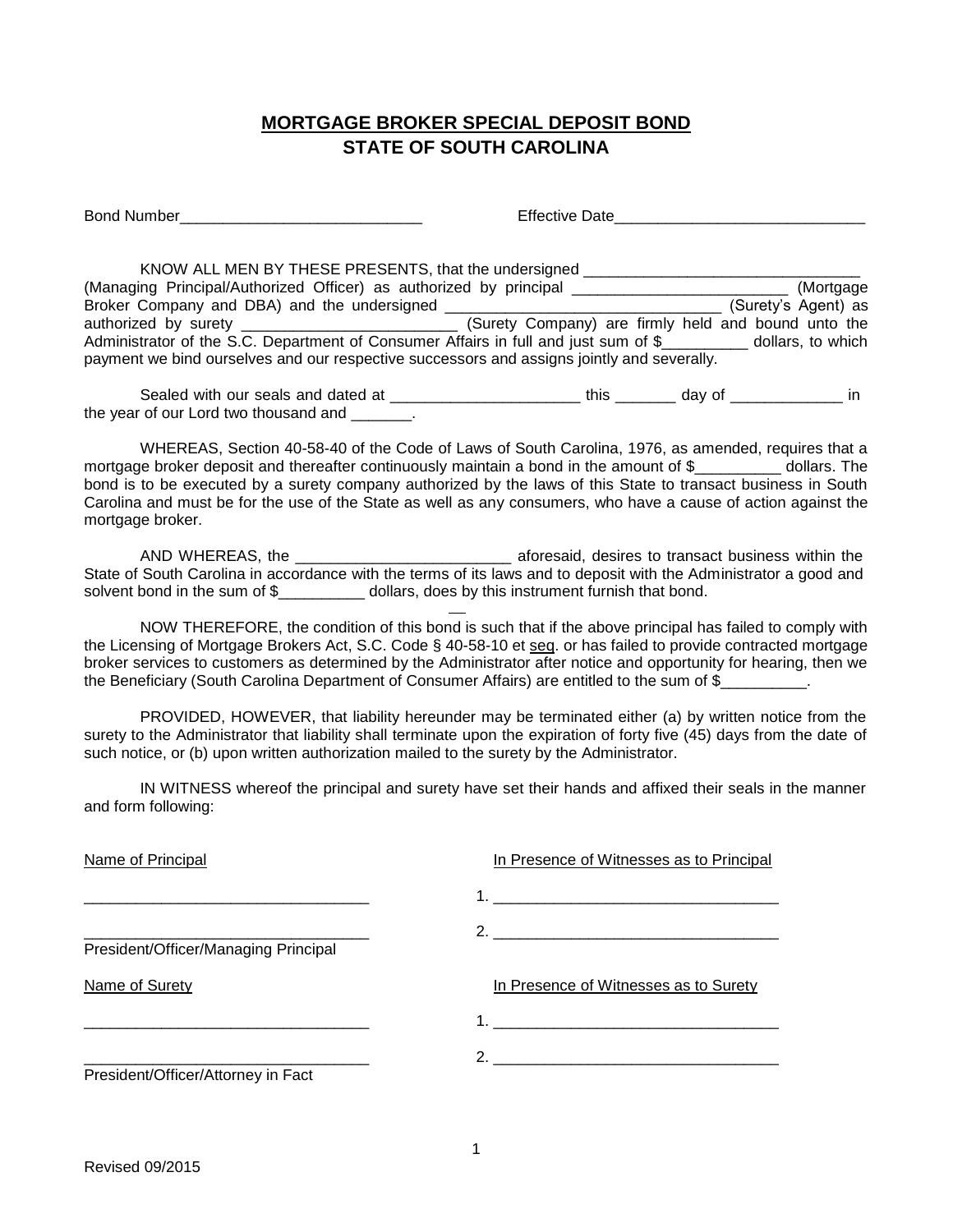## **MORTGAGE BROKER SPECIAL DEPOSIT BOND STATE OF SOUTH CAROLINA**

Bond Number\_\_\_\_\_\_\_\_\_\_\_\_\_\_\_\_\_\_\_\_\_\_\_\_\_\_\_\_ Effective Date\_\_\_\_\_\_\_\_\_\_\_\_\_\_\_\_\_\_\_\_\_\_\_\_\_\_\_\_\_

KNOW ALL MEN BY THESE PRESENTS, that the undersigned \_\_\_\_\_\_\_\_\_\_\_\_\_\_\_\_\_\_\_\_\_\_\_\_\_\_\_ (Managing Principal/Authorized Officer) as authorized by principal \_\_\_\_\_\_\_\_\_\_\_\_\_\_\_\_\_\_\_\_\_\_\_\_\_ (Mortgage Broker Company and DBA) and the undersigned \_\_\_\_\_\_\_\_\_\_\_\_\_\_\_\_\_\_\_\_\_\_\_\_\_\_\_\_\_\_\_\_ (Surety's Agent) as authorized by surety \_\_\_\_\_\_\_\_\_\_\_\_\_\_\_\_\_\_\_\_\_\_\_\_\_ (Surety Company) are firmly held and bound unto the Administrator of the S.C. Department of Consumer Affairs in full and just sum of \$\_\_\_\_\_\_\_\_\_\_ dollars, to which payment we bind ourselves and our respective successors and assigns jointly and severally.

Sealed with our seals and dated at \_\_\_\_\_\_\_\_\_\_\_\_\_\_\_\_\_\_\_\_\_\_\_\_\_\_\_\_ this \_\_\_\_\_\_\_\_\_ day of \_\_\_\_\_\_\_\_\_\_\_\_\_\_\_\_\_ in the year of our Lord two thousand and  $\qquad \qquad$ .

WHEREAS, Section 40-58-40 of the Code of Laws of South Carolina, 1976, as amended, requires that a mortgage broker deposit and thereafter continuously maintain a bond in the amount of \$\_\_\_\_\_\_\_\_\_\_ dollars. The bond is to be executed by a surety company authorized by the laws of this State to transact business in South Carolina and must be for the use of the State as well as any consumers, who have a cause of action against the mortgage broker.

AND WHEREAS, the \_\_\_\_\_\_\_\_\_\_\_\_\_\_\_\_\_\_\_\_\_\_\_\_\_\_\_\_\_\_\_\_\_\_ aforesaid, desires to transact business within the State of South Carolina in accordance with the terms of its laws and to deposit with the Administrator a good and solvent bond in the sum of \$ dollars, does by this instrument furnish that bond.

NOW THEREFORE, the condition of this bond is such that if the above principal has failed to comply with the Licensing of Mortgage Brokers Act, S.C. Code § 40-58-10 et seq. or has failed to provide contracted mortgage broker services to customers as determined by the Administrator after notice and opportunity for hearing, then we the Beneficiary (South Carolina Department of Consumer Affairs) are entitled to the sum of \$

PROVIDED, HOWEVER, that liability hereunder may be terminated either (a) by written notice from the surety to the Administrator that liability shall terminate upon the expiration of forty five (45) days from the date of such notice, or (b) upon written authorization mailed to the surety by the Administrator.

IN WITNESS whereof the principal and surety have set their hands and affixed their seals in the manner and form following:

| Name of Principal                    | In Presence of Witnesses as to Principal     |
|--------------------------------------|----------------------------------------------|
|                                      | 1. <u>__________________________________</u> |
|                                      | 2. $\qquad \qquad$                           |
| President/Officer/Managing Principal |                                              |
| Name of Surety                       | In Presence of Witnesses as to Surety        |
|                                      |                                              |
|                                      |                                              |
| President/Officer/Attorney in Fact   |                                              |